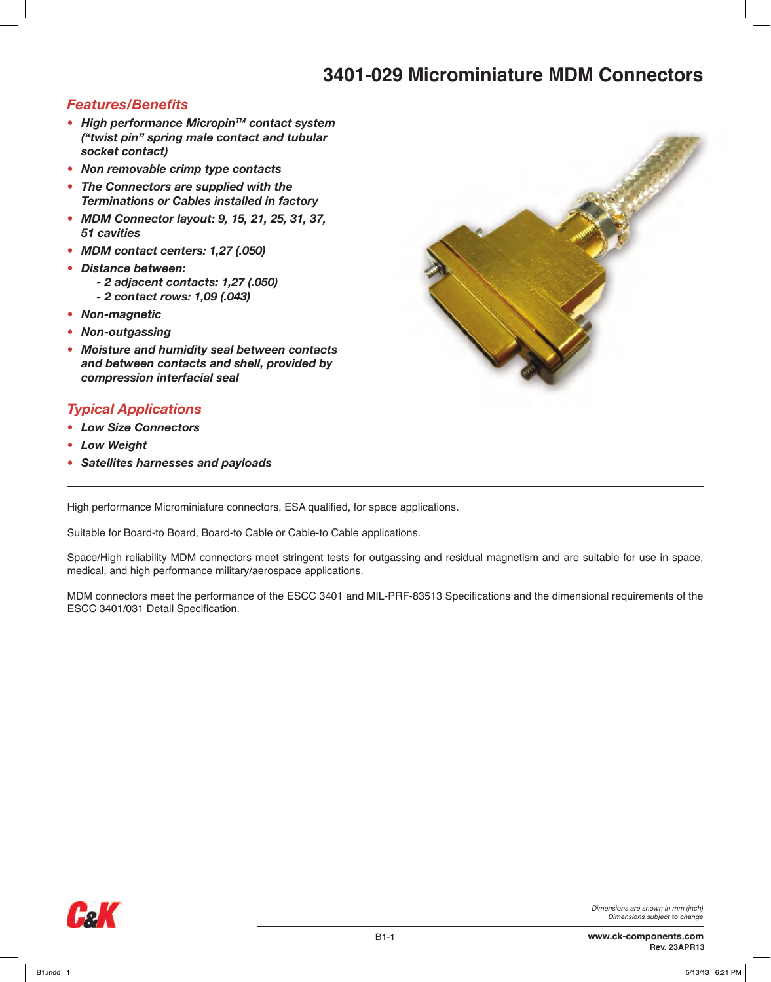## *Features/Benefits*

- *• High performance MicropinTM contact system ("twist pin" spring male contact and tubular socket contact)*
- *• Non removable crimp type contacts*
- *• The Connectors are supplied with the Terminations or Cables installed in factory*
- *• MDM Connector layout: 9, 15, 21, 25, 31, 37, 51 cavities*
- *• MDM contact centers: 1,27 (.050)*
- *• Distance between:* 
	- *- 2 adjacent contacts: 1,27 (.050) - 2 contact rows: 1,09 (.043)*
- *• Non-magnetic*
- *• Non-outgassing*
- *• Moisture and humidity seal between contacts and between contacts and shell, provided by compression interfacial seal*

## *Typical Applications*

- *• Low Size Connectors*
- *• Low Weight*
- *• Satellites harnesses and payloads*



Suitable for Board-to Board, Board-to Cable or Cable-to Cable applications.

Space/High reliability MDM connectors meet stringent tests for outgassing and residual magnetism and are suitable for use in space, medical, and high performance military/aerospace applications.

MDM connectors meet the performance of the ESCC 3401 and MIL-PRF-83513 Specifications and the dimensional requirements of the ESCC 3401/031 Detail Specification.



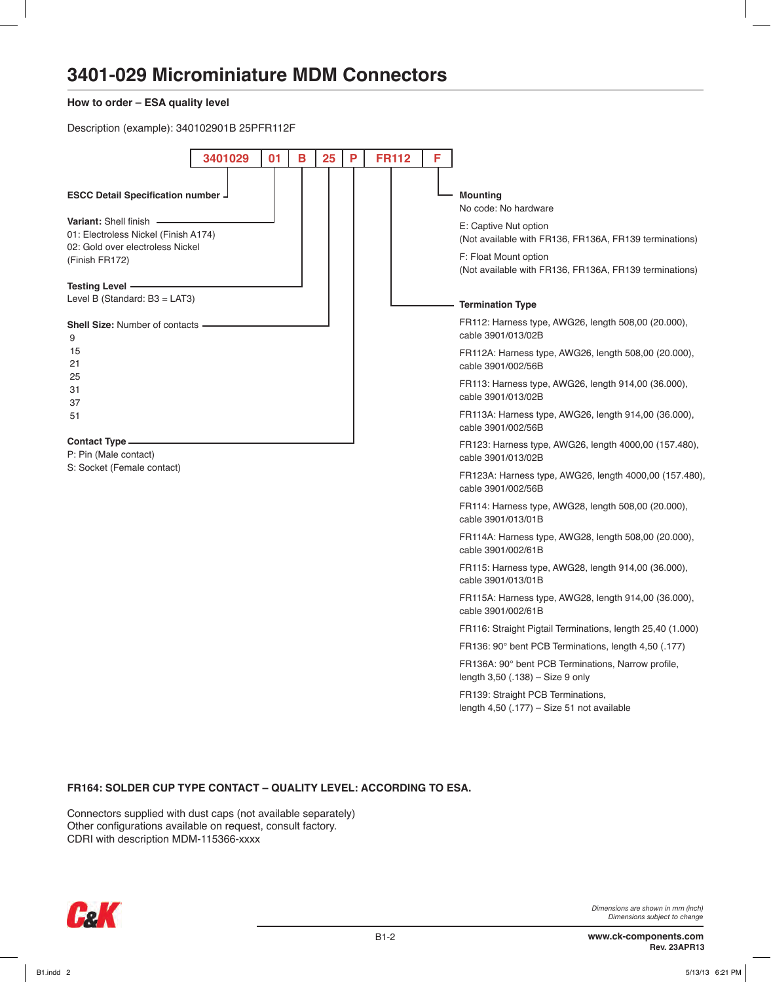### **How to order – ESA quality level**

Description (example): 340102901B 25PFR112F

|                                                                                                     | 3401029 | 01 | В | 25 | P | <b>FR112</b> | F |                                                                                        |
|-----------------------------------------------------------------------------------------------------|---------|----|---|----|---|--------------|---|----------------------------------------------------------------------------------------|
|                                                                                                     |         |    |   |    |   |              |   |                                                                                        |
| ESCC Detail Specification number J                                                                  |         |    |   |    |   |              |   | <b>Mounting</b><br>No code: No hardware                                                |
| Variant: Shell finish -<br>01: Electroless Nickel (Finish A174)<br>02: Gold over electroless Nickel |         |    |   |    |   |              |   | E: Captive Nut option<br>(Not available with FR136, FR136A, FR139 terminations)        |
| (Finish FR172)                                                                                      |         |    |   |    |   |              |   | F: Float Mount option<br>(Not available with FR136, FR136A, FR139 terminations)        |
| Testing Level -                                                                                     |         |    |   |    |   |              |   |                                                                                        |
| Level B (Standard: $B3 = LAT3$ )                                                                    |         |    |   |    |   |              |   | <b>Termination Type</b>                                                                |
| <b>Shell Size: Number of contacts -</b><br>9                                                        |         |    |   |    |   |              |   | FR112: Harness type, AWG26, length 508,00 (20.000),<br>cable 3901/013/02B              |
| 15<br>21                                                                                            |         |    |   |    |   |              |   | FR112A: Harness type, AWG26, length 508,00 (20.000),<br>cable 3901/002/56B             |
| 25<br>31<br>37                                                                                      |         |    |   |    |   |              |   | FR113: Harness type, AWG26, length 914,00 (36.000),<br>cable 3901/013/02B              |
| 51                                                                                                  |         |    |   |    |   |              |   | FR113A: Harness type, AWG26, length 914,00 (36.000),<br>cable 3901/002/56B             |
| <b>Contact Type -</b><br>P: Pin (Male contact)                                                      |         |    |   |    |   |              |   | FR123: Harness type, AWG26, length 4000,00 (157.480),<br>cable 3901/013/02B            |
| S: Socket (Female contact)                                                                          |         |    |   |    |   |              |   | FR123A: Harness type, AWG26, length 4000,00 (157.480),<br>cable 3901/002/56B           |
|                                                                                                     |         |    |   |    |   |              |   | FR114: Harness type, AWG28, length 508,00 (20.000),<br>cable 3901/013/01B              |
|                                                                                                     |         |    |   |    |   |              |   | FR114A: Harness type, AWG28, length 508,00 (20.000),<br>cable 3901/002/61B             |
|                                                                                                     |         |    |   |    |   |              |   | FR115: Harness type, AWG28, length 914,00 (36.000),<br>cable 3901/013/01B              |
|                                                                                                     |         |    |   |    |   |              |   | FR115A: Harness type, AWG28, length 914,00 (36.000),<br>cable 3901/002/61B             |
|                                                                                                     |         |    |   |    |   |              |   | FR116: Straight Pigtail Terminations, length 25,40 (1.000)                             |
|                                                                                                     |         |    |   |    |   |              |   | FR136: 90° bent PCB Terminations, length 4,50 (.177)                                   |
|                                                                                                     |         |    |   |    |   |              |   | FR136A: 90° bent PCB Terminations, Narrow profile,<br>length 3,50 (.138) - Size 9 only |
|                                                                                                     |         |    |   |    |   |              |   | FR139: Straight PCB Terminations,<br>length $4,50$ (.177) - Size 51 not available      |
|                                                                                                     |         |    |   |    |   |              |   |                                                                                        |

## **FR164: SOLDER CUP TYPE CONTACT – QUALITY LEVEL: ACCORDING TO ESA.**

Connectors supplied with dust caps (not available separately) Other configurations available on request, consult factory. CDRI with description MDM-115366-xxxx

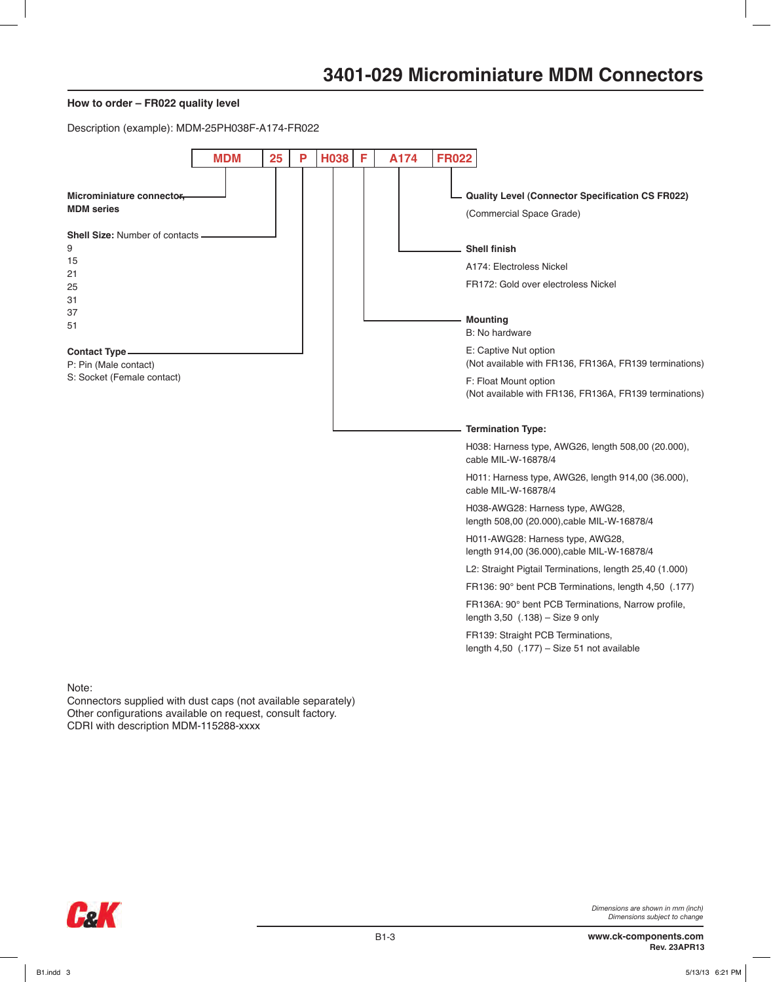#### **How to order – FR022 quality level**

Description (example): MDM-25PH038F-A174-FR022



Note:

Connectors supplied with dust caps (not available separately) Other configurations available on request, consult factory. CDRI with description MDM-115288-xxxx

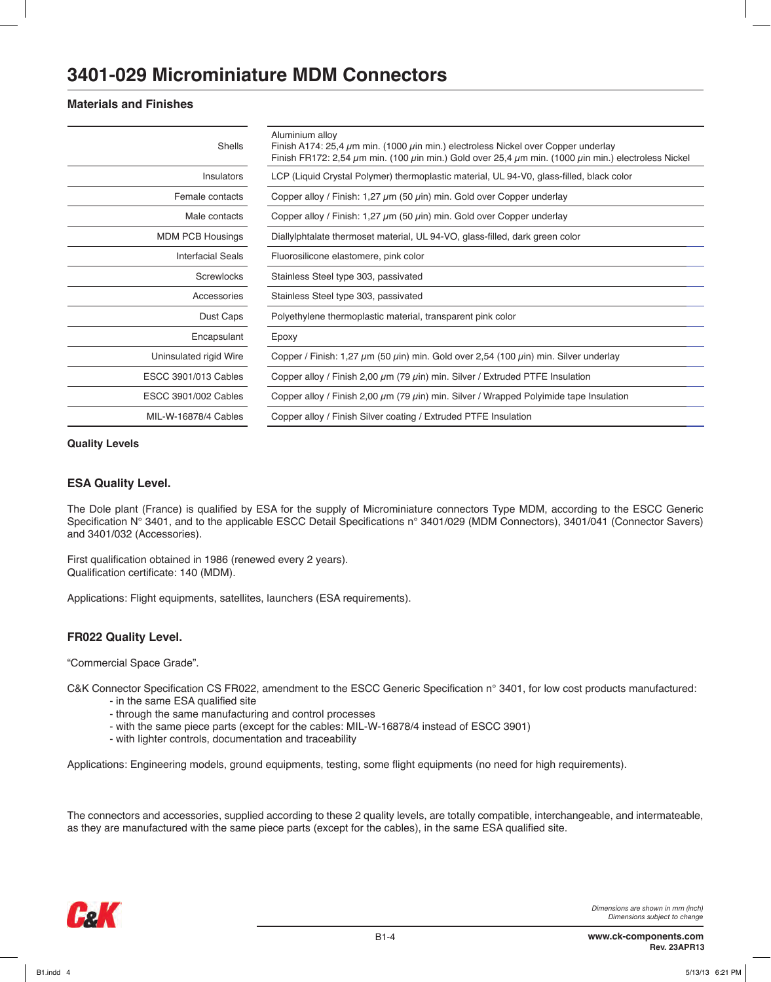## **Materials and Finishes**

| Shells                   | Aluminium alloy<br>Finish A174: 25,4 $\mu$ m min. (1000 $\mu$ in min.) electroless Nickel over Copper underlay<br>Finish FR172: 2,54 $\mu$ m min. (100 $\mu$ in min.) Gold over 25,4 $\mu$ m min. (1000 $\mu$ in min.) electroless Nickel |
|--------------------------|-------------------------------------------------------------------------------------------------------------------------------------------------------------------------------------------------------------------------------------------|
| Insulators               | LCP (Liquid Crystal Polymer) thermoplastic material, UL 94-V0, glass-filled, black color                                                                                                                                                  |
| Female contacts          | Copper alloy / Finish: 1,27 $\mu$ m (50 $\mu$ in) min. Gold over Copper underlay                                                                                                                                                          |
| Male contacts            | Copper alloy / Finish: 1,27 $\mu$ m (50 $\mu$ in) min. Gold over Copper underlay                                                                                                                                                          |
| <b>MDM PCB Housings</b>  | Diallylphtalate thermoset material, UL 94-VO, glass-filled, dark green color                                                                                                                                                              |
| <b>Interfacial Seals</b> | Fluorosilicone elastomere, pink color                                                                                                                                                                                                     |
| <b>Screwlocks</b>        | Stainless Steel type 303, passivated                                                                                                                                                                                                      |
| Accessories              | Stainless Steel type 303, passivated                                                                                                                                                                                                      |
| Dust Caps                | Polyethylene thermoplastic material, transparent pink color                                                                                                                                                                               |
| Encapsulant              | Epoxy                                                                                                                                                                                                                                     |
| Uninsulated rigid Wire   | Copper / Finish: 1,27 $\mu$ m (50 $\mu$ in) min. Gold over 2,54 (100 $\mu$ in) min. Silver underlay                                                                                                                                       |
| ESCC 3901/013 Cables     | Copper alloy / Finish 2,00 $\mu$ m (79 $\mu$ in) min. Silver / Extruded PTFE Insulation                                                                                                                                                   |
| ESCC 3901/002 Cables     | Copper alloy / Finish 2,00 $\mu$ m (79 $\mu$ in) min. Silver / Wrapped Polyimide tape Insulation                                                                                                                                          |
| MIL-W-16878/4 Cables     | Copper alloy / Finish Silver coating / Extruded PTFE Insulation                                                                                                                                                                           |

#### **Quality Levels**

### **ESA Quality Level.**

The Dole plant (France) is qualified by ESA for the supply of Microminiature connectors Type MDM, according to the ESCC Generic Specification N° 3401, and to the applicable ESCC Detail Specifications n° 3401/029 (MDM Connectors), 3401/041 (Connector Savers) and 3401/032 (Accessories).

First qualification obtained in 1986 (renewed every 2 years). Qualification certificate: 140 (MDM).

Applications: Flight equipments, satellites, launchers (ESA requirements).

## **FR022 Quality Level.**

#### "Commercial Space Grade".

C&K Connector Specification CS FR022, amendment to the ESCC Generic Specification n° 3401, for low cost products manufactured:

- in the same ESA qualified site
- through the same manufacturing and control processes
- with the same piece parts (except for the cables: MIL-W-16878/4 instead of ESCC 3901)
- with lighter controls, documentation and traceability

Applications: Engineering models, ground equipments, testing, some flight equipments (no need for high requirements).

The connectors and accessories, supplied according to these 2 quality levels, are totally compatible, interchangeable, and intermateable, as they are manufactured with the same piece parts (except for the cables), in the same ESA qualified site.

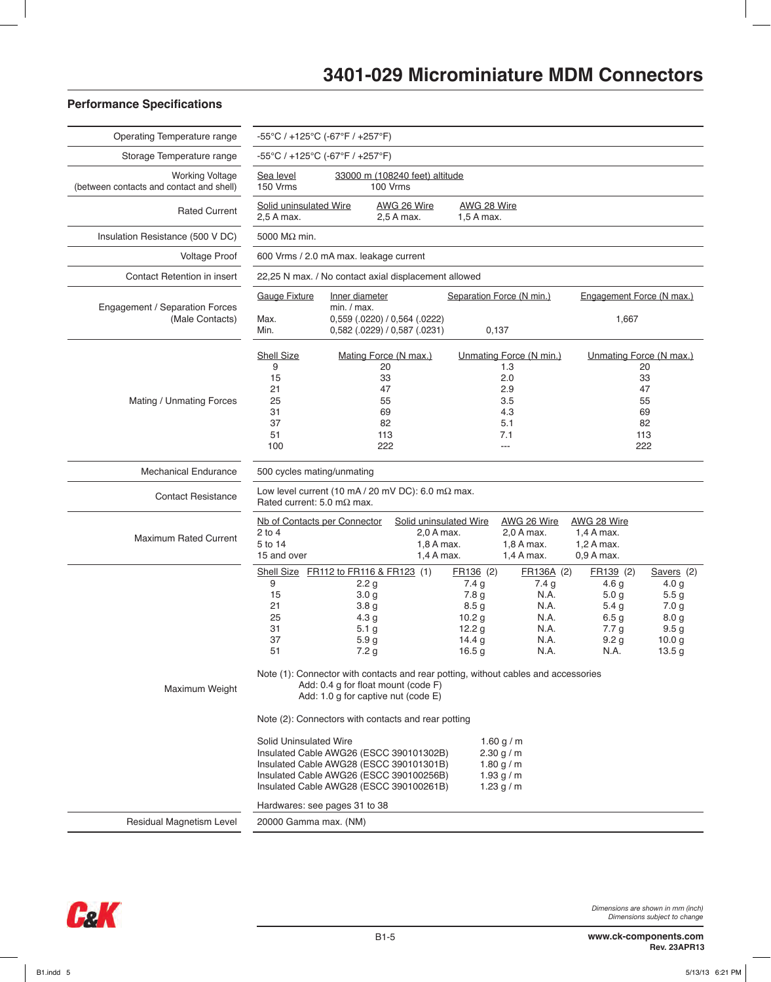### **Performance Specifications**

| Operating Temperature range                                        |                                                                                                                                                                                                                                                                                                                                                                                                                                                                                                                                                                                                                                          | -55°C / +125°C (-67°F / +257°F)                                                                 |                                         |                                                                                                                       |                                                                                                                                                    |                                                                                                                                             |                                                                                                                                    |  |
|--------------------------------------------------------------------|------------------------------------------------------------------------------------------------------------------------------------------------------------------------------------------------------------------------------------------------------------------------------------------------------------------------------------------------------------------------------------------------------------------------------------------------------------------------------------------------------------------------------------------------------------------------------------------------------------------------------------------|-------------------------------------------------------------------------------------------------|-----------------------------------------|-----------------------------------------------------------------------------------------------------------------------|----------------------------------------------------------------------------------------------------------------------------------------------------|---------------------------------------------------------------------------------------------------------------------------------------------|------------------------------------------------------------------------------------------------------------------------------------|--|
| Storage Temperature range                                          |                                                                                                                                                                                                                                                                                                                                                                                                                                                                                                                                                                                                                                          | -55°C / +125°C (-67°F / +257°F)                                                                 |                                         |                                                                                                                       |                                                                                                                                                    |                                                                                                                                             |                                                                                                                                    |  |
| <b>Working Voltage</b><br>(between contacts and contact and shell) | Sea level<br>150 Vrms                                                                                                                                                                                                                                                                                                                                                                                                                                                                                                                                                                                                                    | 33000 m (108240 feet) altitude<br>100 Vrms                                                      |                                         |                                                                                                                       |                                                                                                                                                    |                                                                                                                                             |                                                                                                                                    |  |
| <b>Rated Current</b>                                               | Solid uninsulated Wire<br>2,5 A max.                                                                                                                                                                                                                                                                                                                                                                                                                                                                                                                                                                                                     | AWG 26 Wire<br>2,5 A max.                                                                       |                                         | AWG 28 Wire<br>1,5 A max.                                                                                             |                                                                                                                                                    |                                                                                                                                             |                                                                                                                                    |  |
| Insulation Resistance (500 V DC)                                   | 5000 M $\Omega$ min.                                                                                                                                                                                                                                                                                                                                                                                                                                                                                                                                                                                                                     |                                                                                                 |                                         |                                                                                                                       |                                                                                                                                                    |                                                                                                                                             |                                                                                                                                    |  |
| Voltage Proof                                                      |                                                                                                                                                                                                                                                                                                                                                                                                                                                                                                                                                                                                                                          | 600 Vrms / 2.0 mA max. leakage current                                                          |                                         |                                                                                                                       |                                                                                                                                                    |                                                                                                                                             |                                                                                                                                    |  |
| Contact Retention in insert                                        |                                                                                                                                                                                                                                                                                                                                                                                                                                                                                                                                                                                                                                          | 22,25 N max. / No contact axial displacement allowed                                            |                                         |                                                                                                                       |                                                                                                                                                    |                                                                                                                                             |                                                                                                                                    |  |
| <b>Engagement / Separation Forces</b><br>(Male Contacts)           | <b>Gauge Fixture</b><br>Max.<br>Min.                                                                                                                                                                                                                                                                                                                                                                                                                                                                                                                                                                                                     | Inner diameter<br>min. / max.<br>0,559 (.0220) / 0,564 (.0222)<br>0,582 (.0229) / 0,587 (.0231) |                                         | 0,137                                                                                                                 | Separation Force (N min.)                                                                                                                          | Engagement Force (N max.)<br>1,667                                                                                                          |                                                                                                                                    |  |
| Mating / Unmating Forces                                           | <b>Shell Size</b><br>9<br>15<br>21<br>25<br>31<br>37<br>51<br>100                                                                                                                                                                                                                                                                                                                                                                                                                                                                                                                                                                        | Mating Force (N max.)<br>20<br>33<br>47<br>55<br>69<br>82<br>113<br>222                         |                                         |                                                                                                                       | Unmating Force (N min.)<br>1.3<br>2.0<br>2.9<br>3.5<br>4.3<br>5.1<br>7.1<br>---                                                                    | Unmating Force (N max.)                                                                                                                     | 20<br>33<br>47<br>55<br>69<br>82<br>113<br>222                                                                                     |  |
| <b>Mechanical Endurance</b>                                        | 500 cycles mating/unmating                                                                                                                                                                                                                                                                                                                                                                                                                                                                                                                                                                                                               |                                                                                                 |                                         |                                                                                                                       |                                                                                                                                                    |                                                                                                                                             |                                                                                                                                    |  |
| <b>Contact Resistance</b>                                          | Rated current: 5.0 m $\Omega$ max.                                                                                                                                                                                                                                                                                                                                                                                                                                                                                                                                                                                                       | Low level current (10 mA / 20 mV DC): 6.0 m $\Omega$ max.                                       |                                         |                                                                                                                       |                                                                                                                                                    |                                                                                                                                             |                                                                                                                                    |  |
| <b>Maximum Rated Current</b>                                       | Nb of Contacts per Connector<br>$2$ to 4<br>5 to 14<br>15 and over                                                                                                                                                                                                                                                                                                                                                                                                                                                                                                                                                                       |                                                                                                 | 2,0 A max.<br>$1,8A$ max.<br>1,4 A max. | Solid uninsulated Wire                                                                                                | AWG 26 Wire<br>2,0 A max.<br>1,8 A max.<br>1,4 A max.                                                                                              | AWG 28 Wire<br>1,4 A max.<br>1,2 A max.<br>0,9 A max.                                                                                       |                                                                                                                                    |  |
| Maximum Weight                                                     | Shell Size FR112 to FR116 & FR123 (1)<br>9<br>2.2 g<br>15<br>3.0 <sub>g</sub><br>21<br>3.8 <sub>g</sub><br>25<br>4.3 <sub>g</sub><br>31<br>5.1 <sub>g</sub><br>37<br>5.9 <sub>g</sub><br>51<br>7.2 g<br>Note (1): Connector with contacts and rear potting, without cables and accessories<br>Add: 0.4 g for float mount (code F)<br>Add: 1.0 g for captive nut (code $E$ )<br>Note (2): Connectors with contacts and rear potting<br>Solid Uninsulated Wire<br>Insulated Cable AWG26 (ESCC 390101302B)<br>Insulated Cable AWG28 (ESCC 390101301B)<br>Insulated Cable AWG26 (ESCC 390100256B)<br>Insulated Cable AWG28 (ESCC 390100261B) |                                                                                                 |                                         | $FR136$ (2)<br>7.4 <sub>g</sub><br>7.8 <sub>g</sub><br>8.5 <sub>g</sub><br>10.2 $g$<br>12.2 g<br>14.4 $g$<br>16.5 $g$ | FR136A (2)<br>7.4 <sub>g</sub><br>N.A.<br>N.A.<br>N.A.<br>N.A.<br>N.A.<br>N.A.<br>1.60 g / m<br>2.30 g/m<br>1.80 g / m<br>1.93 g / m<br>1.23 $g/m$ | $FR139$ (2)<br>4.6 <sub>g</sub><br>5.0 <sub>g</sub><br>5.4 <sub>g</sub><br>6.5 <sub>g</sub><br>7.7 <sub>g</sub><br>9.2 <sub>g</sub><br>N.A. | Savers (2)<br>4.0 <sub>g</sub><br>5.5 <sub>g</sub><br>7.0 <sub>g</sub><br>8.0 <sub>g</sub><br>9.5 <sub>g</sub><br>10.0 g<br>13.5 g |  |
|                                                                    |                                                                                                                                                                                                                                                                                                                                                                                                                                                                                                                                                                                                                                          | Hardwares: see pages 31 to 38                                                                   |                                         |                                                                                                                       |                                                                                                                                                    |                                                                                                                                             |                                                                                                                                    |  |
| Residual Magnetism Level                                           | 20000 Gamma max. (NM)                                                                                                                                                                                                                                                                                                                                                                                                                                                                                                                                                                                                                    |                                                                                                 |                                         |                                                                                                                       |                                                                                                                                                    |                                                                                                                                             |                                                                                                                                    |  |



and the state of the state of the state of the state of the state of the state of the state of the state of th

**Rev. 23APR13**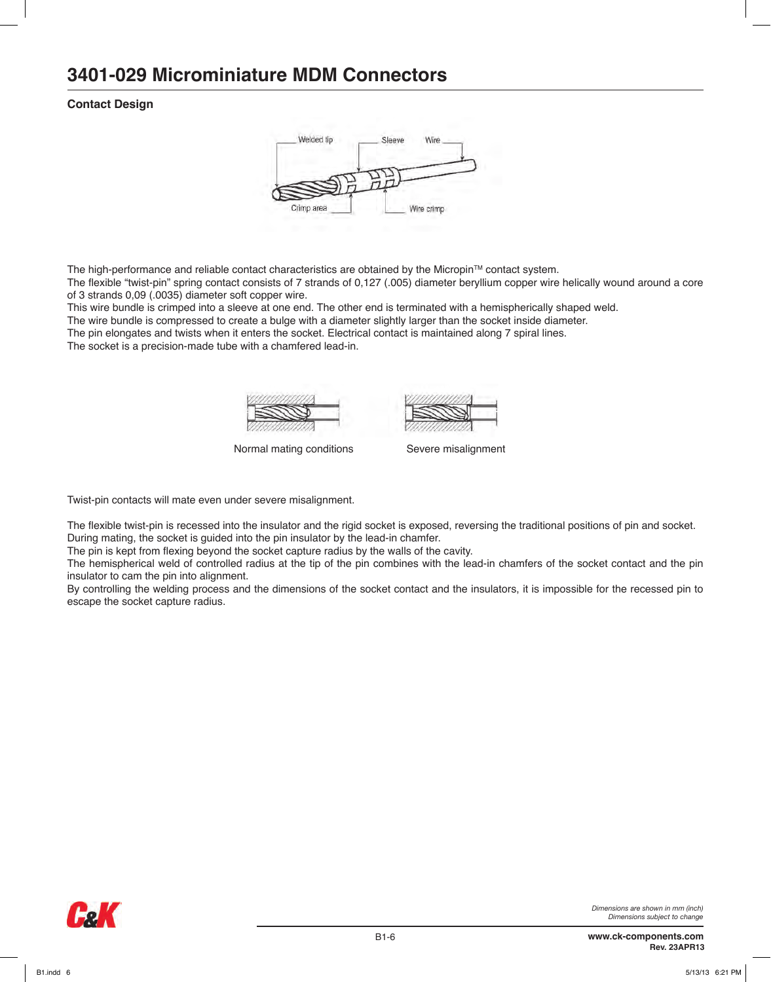## **Contact Design**



The high-performance and reliable contact characteristics are obtained by the Micropin™ contact system.

The flexible "twist-pin" spring contact consists of 7 strands of 0,127 (.005) diameter beryllium copper wire helically wound around a core of 3 strands 0,09 (.0035) diameter soft copper wire.

This wire bundle is crimped into a sleeve at one end. The other end is terminated with a hemispherically shaped weld.

The wire bundle is compressed to create a bulge with a diameter slightly larger than the socket inside diameter.

The pin elongates and twists when it enters the socket. Electrical contact is maintained along 7 spiral lines.

The socket is a precision-made tube with a chamfered lead-in.



Normal mating conditions Severe misalignment



Twist-pin contacts will mate even under severe misalignment.

The flexible twist-pin is recessed into the insulator and the rigid socket is exposed, reversing the traditional positions of pin and socket. During mating, the socket is guided into the pin insulator by the lead-in chamfer.

The pin is kept from flexing beyond the socket capture radius by the walls of the cavity.

The hemispherical weld of controlled radius at the tip of the pin combines with the lead-in chamfers of the socket contact and the pin insulator to cam the pin into alignment.

By controlling the welding process and the dimensions of the socket contact and the insulators, it is impossible for the recessed pin to escape the socket capture radius.

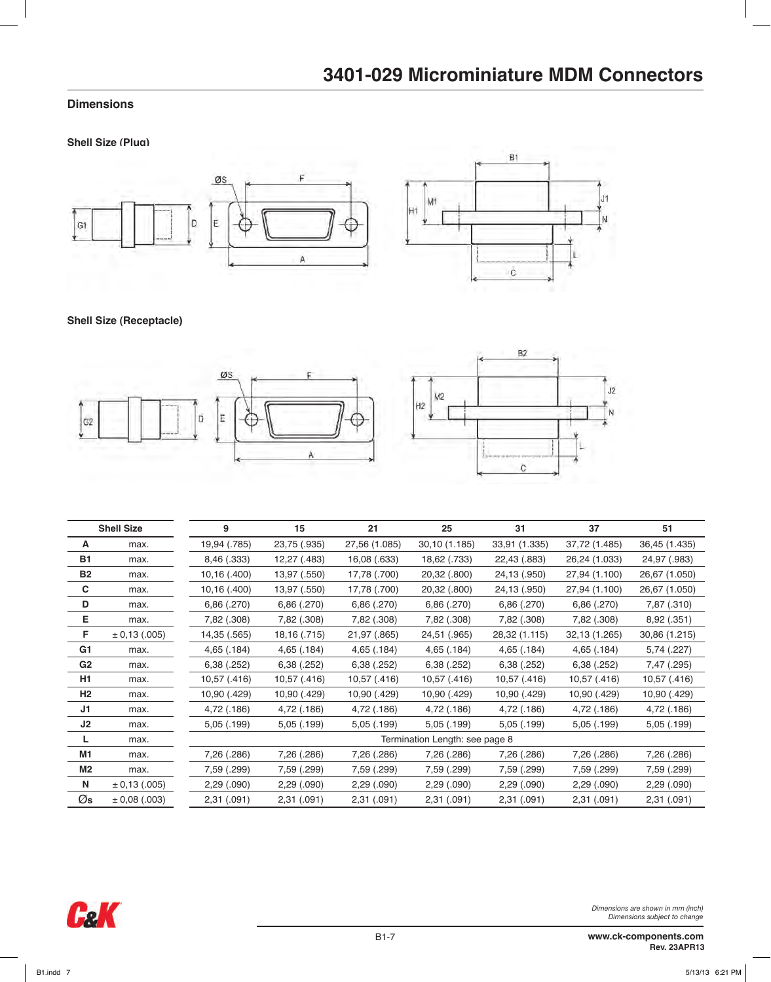### **Dimensions**

## **Shell Size (Plug)**





### **Shell Size (Receptacle)**





|                | <b>Shell Size</b> | 9            | 15           | 21            | 25                             | 31            | 37            | 51            |
|----------------|-------------------|--------------|--------------|---------------|--------------------------------|---------------|---------------|---------------|
| A              | max.              | 19,94 (.785) | 23,75 (.935) | 27,56 (1.085) | 30,10 (1.185)                  | 33,91 (1.335) | 37,72 (1.485) | 36,45 (1.435) |
| <b>B1</b>      | max.              | 8,46 (.333)  | 12,27 (.483) | 16,08 (.633)  | 18,62 (.733)                   | 22,43 (.883)  | 26,24 (1.033) | 24,97 (.983)  |
| <b>B2</b>      | max.              | 10,16 (.400) | 13,97 (.550) | 17,78 (.700)  | 20,32 (.800)                   | 24,13 (.950)  | 27,94 (1.100) | 26,67 (1.050) |
| C              | max.              | 10,16 (.400) | 13,97 (.550) | 17,78 (.700)  | 20,32 (.800)                   | 24,13 (.950)  | 27,94 (1.100) | 26,67 (1.050) |
| D              | max.              | 6,86 (.270)  | 6,86 (.270)  | 6,86(.270)    | 6,86 (.270)                    | 6,86 (.270)   | 6,86(.270)    | 7,87 (.310)   |
| E              | max.              | 7,82 (.308)  | 7,82 (.308)  | 7,82 (.308)   | 7,82 (.308)                    | 7,82 (.308)   | 7,82 (.308)   | 8,92 (.351)   |
| F              | $\pm$ 0,13 (.005) | 14,35 (.565) | 18,16 (.715) | 21,97 (.865)  | 24,51 (.965)                   | 28,32 (1.115) | 32,13 (1.265) | 30,86 (1.215) |
| G <sub>1</sub> | max.              | 4,65 (.184)  | 4,65 (.184)  | 4,65(.184)    | 4,65(.184)                     | 4,65 (.184)   | 4,65 (.184)   | 5,74 (.227)   |
| G <sub>2</sub> | max.              | 6,38 (.252)  | 6,38(.252)   | 6,38(.252)    | 6,38(.252)                     | 6,38(.252)    | 6,38 (.252)   | 7,47 (.295)   |
| H1             | max.              | 10,57 (.416) | 10,57 (.416) | 10,57 (.416)  | $10,57$ (.416)                 | 10,57 (.416)  | 10,57 (.416)  | 10,57 (.416)  |
| H2             | max.              | 10,90 (.429) | 10,90 (.429) | 10,90 (.429)  | 10,90 (.429)                   | 10,90 (.429)  | 10,90 (.429)  | 10,90 (.429)  |
| J1             | max.              | 4,72 (.186)  | 4,72 (.186)  | 4,72 (.186)   | 4,72 (.186)                    | 4,72 (.186)   | 4,72 (.186)   | 4,72 (.186)   |
| J2             | max.              | 5,05 (.199)  | 5,05(.199)   | 5,05 (.199)   | 5,05(.199)                     | 5,05(0.199)   | 5,05 (.199)   | 5,05 (.199)   |
|                | max.              |              |              |               | Termination Length: see page 8 |               |               |               |
| M1             | max.              | 7,26 (.286)  | 7,26 (.286)  | 7,26 (.286)   | 7,26 (.286)                    | 7,26 (.286)   | 7,26 (.286)   | 7,26 (.286)   |
| M2             | max.              | 7,59 (.299)  | 7,59 (.299)  | 7,59 (.299)   | 7,59 (.299)                    | 7,59 (.299)   | 7,59 (.299)   | 7,59 (.299)   |
| N              | $\pm$ 0,13 (.005) | 2,29 (.090)  | 2,29 (.090)  | 2,29 (.090)   | 2,29 (.090)                    | 2,29(.090)    | 2,29 (.090)   | 2,29 (.090)   |
| Øs             | $\pm$ 0,08 (.003) | 2,31(.091)   | 2,31(.091)   | 2,31(.091)    | 2,31(.091)                     | 2,31(.091)    | 2,31(.091)    | 2,31(.091)    |

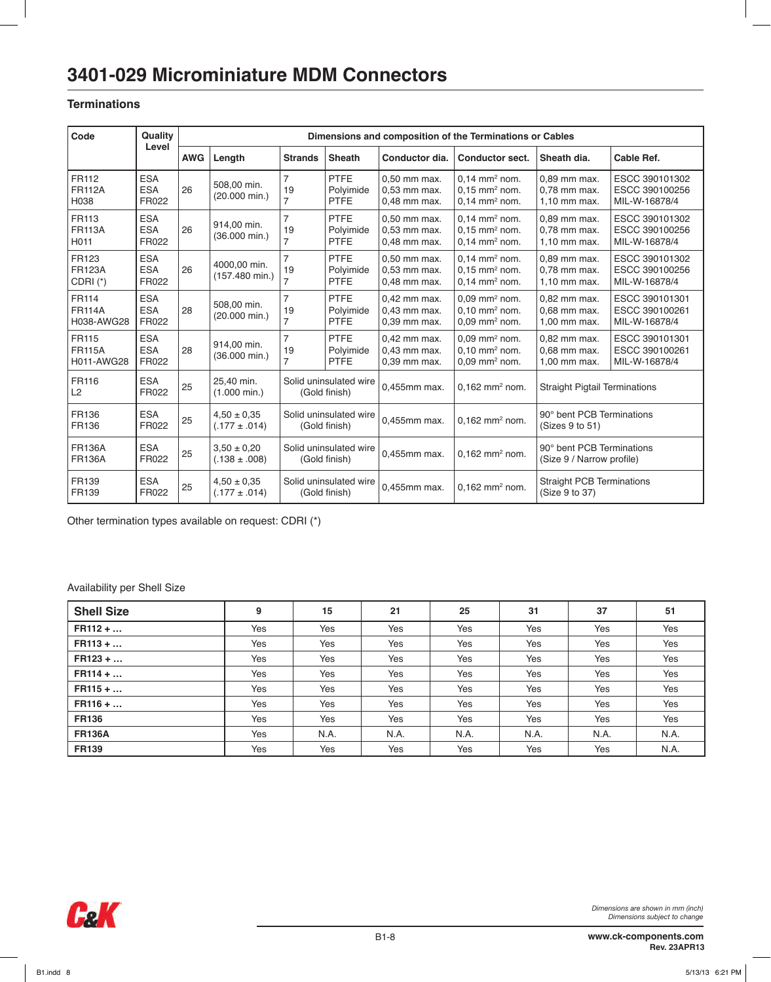## **Terminations**

| Code                                        | Quality                           |            |                                          |                                        |                                         | Dimensions and composition of the Terminations or Cables |                                                                                           |                                                        |                                                   |
|---------------------------------------------|-----------------------------------|------------|------------------------------------------|----------------------------------------|-----------------------------------------|----------------------------------------------------------|-------------------------------------------------------------------------------------------|--------------------------------------------------------|---------------------------------------------------|
|                                             | Level                             | <b>AWG</b> | Length                                   | <b>Strands</b>                         | <b>Sheath</b>                           | Conductor dia.                                           | <b>Conductor sect.</b>                                                                    | Sheath dia.                                            | <b>Cable Ref.</b>                                 |
| FR112<br><b>FR112A</b><br>H038              | <b>ESA</b><br><b>ESA</b><br>FR022 | 26         | 508,00 min.<br>$(20.000 \text{ min.})$   | $\overline{7}$<br>19<br>$\overline{7}$ | <b>PTFE</b><br>Polyimide<br><b>PTFE</b> | $0.50$ mm max.<br>$0.53$ mm max.<br>$0.48$ mm max.       | $0.14$ mm <sup>2</sup> nom.<br>$0.15$ mm <sup>2</sup> nom.<br>$0.14$ mm <sup>2</sup> nom. | 0.89 mm max.<br>0,78 mm max.<br>$1.10$ mm max.         | ESCC 390101302<br>ESCC 390100256<br>MIL-W-16878/4 |
| FR113<br><b>FR113A</b><br>H011              | <b>ESA</b><br><b>ESA</b><br>FR022 | 26         | 914,00 min.<br>$(36.000 \text{ min.})$   | $\overline{7}$<br>19<br>$\overline{7}$ | PTFE<br>Polyimide<br><b>PTFE</b>        | 0,50 mm max.<br>0,53 mm max.<br>0,48 mm max.             | $0.14$ mm <sup>2</sup> nom.<br>$0.15$ mm <sup>2</sup> nom.<br>$0.14$ mm <sup>2</sup> nom. | 0.89 mm max.<br>0,78 mm max.<br>1.10 mm max.           | ESCC 390101302<br>ESCC 390100256<br>MIL-W-16878/4 |
| FR123<br><b>FR123A</b><br>CDRI(*)           | <b>ESA</b><br><b>ESA</b><br>FR022 | 26         | 4000,00 min.<br>$(157.480 \text{ min.})$ | 7<br>19<br>$\overline{7}$              | <b>PTFE</b><br>Polyimide<br><b>PTFE</b> | 0.50 mm max.<br>0.53 mm max.<br>0.48 mm max.             | $0.14$ mm <sup>2</sup> nom.<br>$0.15$ mm <sup>2</sup> nom.<br>$0.14$ mm <sup>2</sup> nom. | 0.89 mm max.<br>0,78 mm max.<br>$1,10$ mm max.         | ESCC 390101302<br>ESCC 390100256<br>MIL-W-16878/4 |
| <b>FR114</b><br><b>FR114A</b><br>H038-AWG28 | <b>ESA</b><br><b>ESA</b><br>FR022 | 28         | 508,00 min.<br>(20.000 min.)             | 7<br>19<br>$\overline{7}$              | <b>PTFE</b><br>Polyimide<br><b>PTFE</b> | 0,42 mm max.<br>0,43 mm max.<br>0,39 mm max.             | $0.09$ mm <sup>2</sup> nom.<br>$0,10$ mm <sup>2</sup> nom.<br>$0.09$ mm <sup>2</sup> nom. | $0.82$ mm max.<br>0,68 mm max.<br>1,00 mm max.         | ESCC 390101301<br>ESCC 390100261<br>MIL-W-16878/4 |
| FR115<br><b>FR115A</b><br>H011-AWG28        | <b>ESA</b><br><b>ESA</b><br>FR022 | 28         | 914,00 min.<br>(36.000 min.)             | $\overline{7}$<br>19<br>$\overline{7}$ | <b>PTFE</b><br>Polyimide<br><b>PTFE</b> | 0,42 mm max.<br>0,43 mm max.<br>0,39 mm max.             | $0.09$ mm <sup>2</sup> nom.<br>$0.10$ mm <sup>2</sup> nom.<br>$0.09$ mm <sup>2</sup> nom. | $0.82$ mm max.<br>0.68 mm max.<br>1,00 mm max.         | ESCC 390101301<br>ESCC 390100261<br>MIL-W-16878/4 |
| FR116<br>L <sub>2</sub>                     | <b>ESA</b><br>FR022               | 25         | 25.40 min.<br>$(1.000 \text{ min.})$     |                                        | Solid uninsulated wire<br>(Gold finish) | 0,455mm max.                                             | $0.162$ mm <sup>2</sup> nom.                                                              | <b>Straight Pigtail Terminations</b>                   |                                                   |
| FR136<br>FR136                              | <b>ESA</b><br>FR022               | 25         | $4,50 \pm 0,35$<br>$(.177 \pm .014)$     |                                        | Solid uninsulated wire<br>(Gold finish) | 0,455mm max.                                             | $0,162$ mm <sup>2</sup> nom.                                                              | 90° bent PCB Terminations<br>(Sizes 9 to 51)           |                                                   |
| <b>FR136A</b><br><b>FR136A</b>              | <b>ESA</b><br>FR022               | 25         | $3.50 \pm 0.20$<br>$(.138 \pm .008)$     |                                        | Solid uninsulated wire<br>(Gold finish) | 0,455mm max.                                             | $0,162$ mm <sup>2</sup> nom.                                                              | 90° bent PCB Terminations<br>(Size 9 / Narrow profile) |                                                   |
| FR139<br>FR139                              | <b>ESA</b><br>FR022               | 25         | $4.50 \pm 0.35$<br>$(.177 \pm .014)$     |                                        | Solid uninsulated wire<br>(Gold finish) | 0,455mm max.                                             | $0.162$ mm <sup>2</sup> nom.                                                              | <b>Straight PCB Terminations</b><br>(Size 9 to 37)     |                                                   |

Other termination types available on request: CDRI (\*)

Availability per Shell Size

| <b>Shell Size</b> | 9          | 15   | 21         | 25   | 31   | 37   | 51   |
|-------------------|------------|------|------------|------|------|------|------|
| $FR112 + $        | Yes        | Yes  | Yes        | Yes  | Yes  | Yes  | Yes  |
| $FR113 + $        | <b>Yes</b> | Yes  | Yes        | Yes  | Yes  | Yes  | Yes  |
| $FR123 + $        | Yes        | Yes  | Yes        | Yes  | Yes  | Yes  | Yes  |
| $FR114 + $        | Yes        | Yes  | Yes        | Yes  | Yes  | Yes  | Yes  |
| $FR115 + $        | Yes        | Yes  | Yes        | Yes  | Yes  | Yes  | Yes  |
| $FR116 + $        | Yes        | Yes  | <b>Yes</b> | Yes  | Yes  | Yes  | Yes  |
| <b>FR136</b>      | Yes        | Yes  | <b>Yes</b> | Yes  | Yes  | Yes  | Yes  |
| <b>FR136A</b>     | Yes        | N.A. | N.A.       | N.A. | N.A. | N.A. | N.A. |
| <b>FR139</b>      | Yes        | Yes  | Yes        | Yes  | Yes  | Yes  | N.A. |

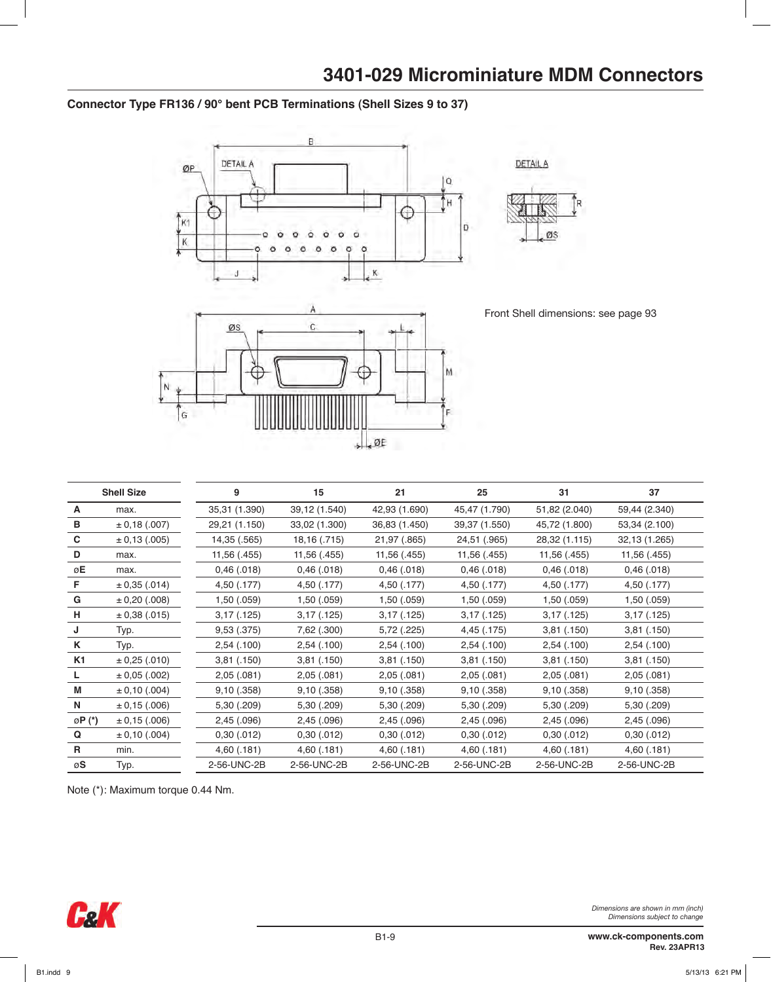## **Connector Type FR136 / 90° bent PCB Terminations (Shell Sizes 9 to 37)**





Front Shell dimensions: see page 93



|        | <b>Shell Size</b> | 9             | 15            | 21            | 25            | 31            | 37            |
|--------|-------------------|---------------|---------------|---------------|---------------|---------------|---------------|
| A      | max.              | 35,31 (1.390) | 39,12 (1.540) | 42,93 (1.690) | 45,47 (1.790) | 51,82 (2.040) | 59,44 (2.340) |
| в      | $\pm$ 0,18 (.007) | 29,21 (1.150) | 33,02 (1.300) | 36,83 (1.450) | 39,37 (1.550) | 45,72 (1.800) | 53,34 (2.100) |
| C      | $\pm$ 0,13 (.005) | 14,35 (.565)  | 18, 16 (.715) | 21,97 (.865)  | 24,51 (.965)  | 28,32 (1.115) | 32,13 (1.265) |
| D      | max.              | 11,56 (.455)  | 11,56 (.455)  | 11,56 (.455)  | 11,56 (.455)  | 11,56 (.455)  | 11,56 (.455)  |
| øΕ     | max.              | 0,46(.018)    | 0,46(.018)    | 0,46(.018)    | 0,46(.018)    | 0,46(.018)    | 0,46(.018)    |
| F.     | $\pm$ 0,35 (.014) | 4,50 (.177)   | 4,50 (.177)   | 4,50 (.177)   | 4,50 (.177)   | 4,50 (.177)   | 4,50 (.177)   |
| G      | $\pm$ 0,20 (.008) | 1,50(.059)    | 1,50(.059)    | 1,50 (.059)   | 1,50(.059)    | 1,50(.059)    | 1,50(.059)    |
| н      | $\pm$ 0,38 (.015) | 3,17(.125)    | 3,17(.125)    | 3,17(.125)    | 3,17(.125)    | 3,17(.125)    | 3,17(.125)    |
| J      | Typ.              | 9,53 (.375)   | 7,62 (.300)   | 5,72 (.225)   | 4,45 (.175)   | 3,81(.150)    | 3,81 (.150)   |
| Κ      | Typ.              | 2,54 (.100)   | 2,54(.100)    | 2,54(.100)    | 2,54 (.100)   | 2,54(.100)    | 2,54(.100)    |
| K1     | $\pm 0.25$ (.010) | 3,81(.150)    | 3,81(.150)    | 3,81(.150)    | 3,81(.150)    | 3,81(.150)    | 3,81 (.150)   |
| L.     | $\pm$ 0,05 (.002) | 2,05(.081)    | 2,05(.081)    | 2,05(.081)    | 2,05(.081)    | 2,05(.081)    | 2,05(.081)    |
| M      | $\pm 0,10(.004)$  | 9,10(.358)    | 9,10(.358)    | 9,10(.358)    | 9,10(.358)    | 9,10(.358)    | 9,10 (.358)   |
| N      | $\pm 0,15(.006)$  | 5,30 (.209)   | 5,30 (.209)   | 5,30 (.209)   | 5,30 (.209)   | 5,30 (.209)   | 5,30 (.209)   |
| øP (*) | ± 0,15(.006)      | 2,45 (.096)   | 2,45(.096)    | 2,45(.096)    | 2,45(.096)    | 2,45 (.096)   | 2,45 (.096)   |
| Q      | $\pm 0,10$ (.004) | 0,30(.012)    | 0,30(.012)    | 0,30(.012)    | 0,30(.012)    | 0,30(.012)    | 0,30(.012)    |
| R      | min.              | 4,60 (.181)   | 4,60(.181)    | 4,60(.181)    | 4,60(.181)    | 4,60(.181)    | 4,60(.181)    |
| øS     | Typ.              | 2-56-UNC-2B   | 2-56-UNC-2B   | 2-56-UNC-2B   | 2-56-UNC-2B   | 2-56-UNC-2B   | 2-56-UNC-2B   |

Note (\*): Maximum torque 0.44 Nm.

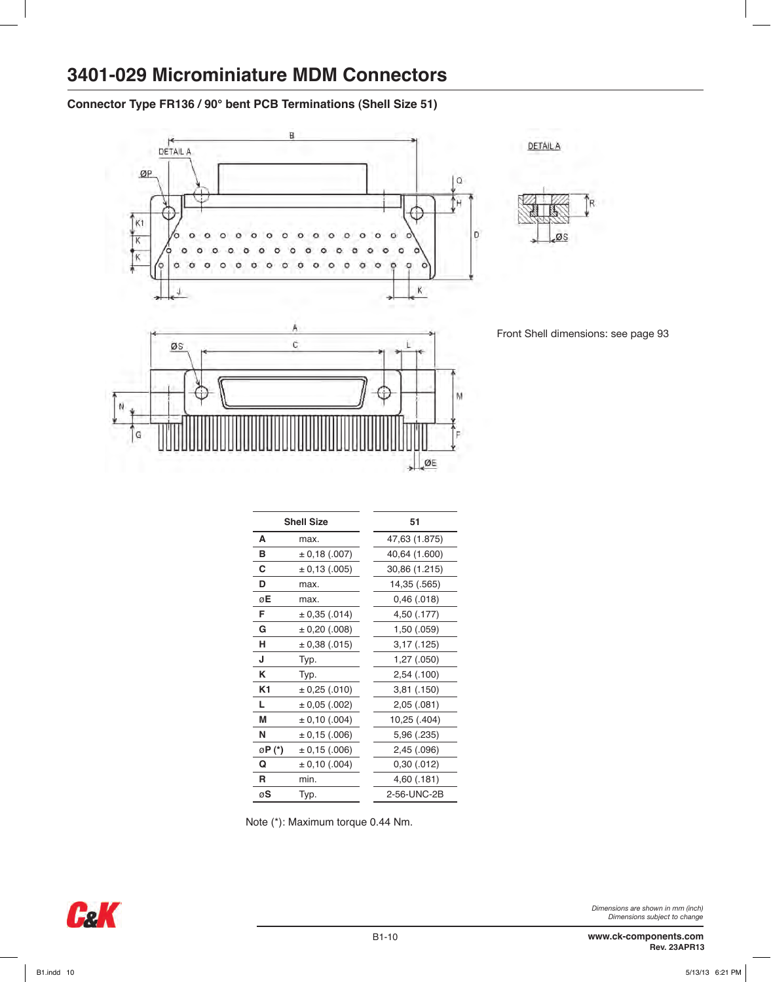## **Connector Type FR136 / 90° bent PCB Terminations (Shell Size 51)**



|        | <b>Shell Size</b> | 51            |
|--------|-------------------|---------------|
| A      | max.              | 47,63 (1.875) |
| в      | $\pm$ 0,18 (.007) | 40,64 (1.600) |
| С      | $\pm$ 0,13 (.005) | 30,86 (1.215) |
| D      | max.              | 14,35 (.565)  |
| øΕ     | max.              | 0,46(.018)    |
| F      | $\pm$ 0,35 (.014) | 4,50 (.177)   |
| G      | $\pm$ 0,20 (.008) | 1,50 (.059)   |
| н      | $\pm$ 0,38 (.015) | 3,17(.125)    |
| J      | Typ.              | 1,27 (.050)   |
| κ      | Typ.              | 2,54 (.100)   |
| K1     | ± 0,25(.010)      | 3,81 (.150)   |
| L      | $\pm$ 0,05 (.002) | 2,05 (.081)   |
| М      | $\pm$ 0,10 (.004) | 10,25 (.404)  |
| Ν      | $\pm 0,15(.006)$  | 5,96 (.235)   |
| øP (*) | $\pm 0,15(.006)$  | 2,45 (.096)   |
| Q      | $\pm$ 0,10 (.004) | 0,30(.012)    |
| R      | min.              | 4,60 (.181)   |
| øS     | Typ.              | 2-56-UNC-2B   |

Note (\*): Maximum torque 0.44 Nm.

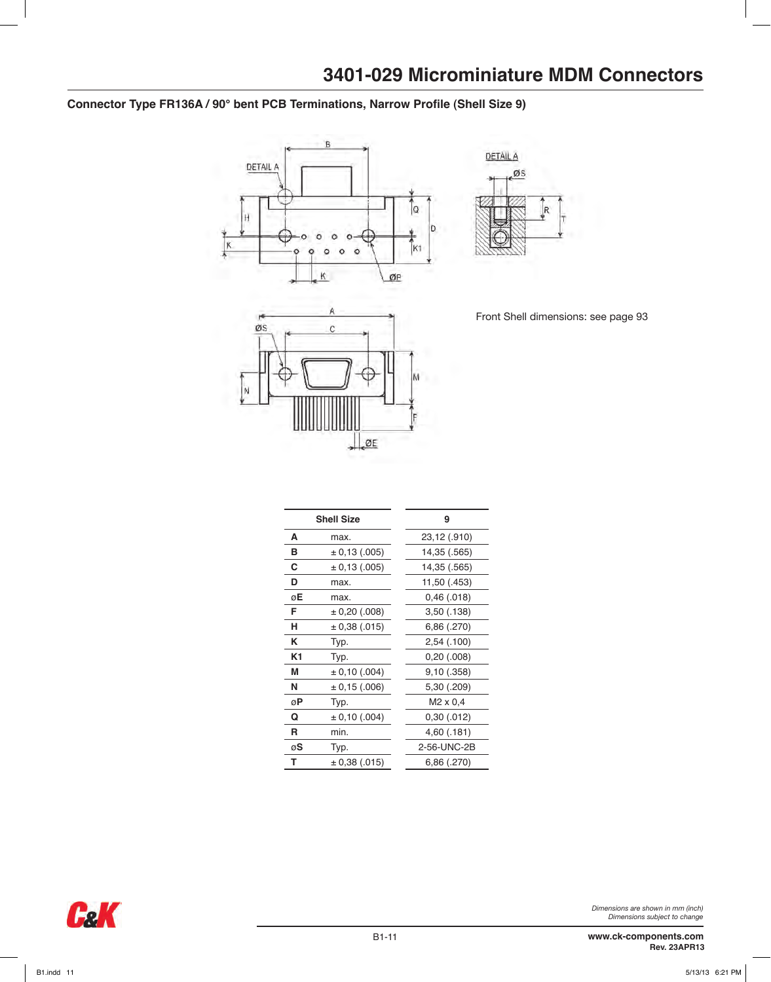## **Connector Type FR136A / 90° bent PCB Terminations, Narrow Profile (Shell Size 9)**





Front Shell dimensions: see page 93



|    | <b>Shell Size</b> | 9             |
|----|-------------------|---------------|
| А  | max.              | 23,12 (.910)  |
| в  | $\pm 0,13(.005)$  | 14,35 (.565)  |
| С  | $\pm$ 0,13 (.005) | 14,35 (.565)  |
| D  | max.              | 11,50 (.453)  |
| øΕ | max.              | 0,46(.018)    |
| F  | $\pm 0,20$ (.008) | 3,50 (.138)   |
| н  | $\pm$ 0,38 (.015) | 6,86 (.270)   |
| κ  | Typ.              | 2,54 (.100)   |
| K1 | Typ.              | $0,20$ (.008) |
| М  | $\pm$ 0,10 (.004) | 9,10(.358)    |
| Ν  | $\pm 0,15(.006)$  | 5,30 (.209)   |
| øΡ | Typ.              | M2 x 0,4      |
| Q  | $\pm 0,10$ (.004) | 0,30(.012)    |
| R  | min.              | 4,60 (.181)   |
| øS | Typ.              | 2-56-UNC-2B   |
| т  | $\pm$ 0,38 (.015) | 6,86 (.270)   |

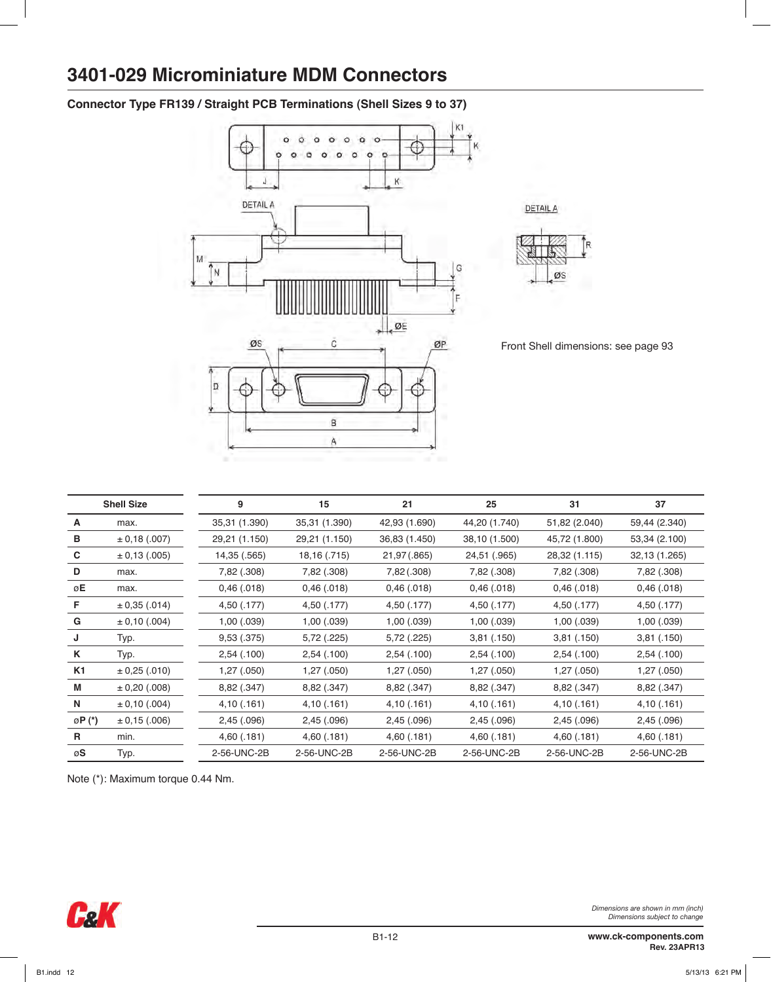D

#### $000$ ö  $\circ$  $\circ$  $\circ$  $\alpha$  $\circ$  $\sigma$  $\alpha$  $\circ$ ö  $\sigma$ J K **DETAIL A DETAILA**  $\mathsf{M}% _{T}=\mathsf{M}_{T}\!\left( a,b\right) ,\ \mathsf{M}_{T}=\mathsf{M}_{T}\!\left( a,b\right) ,$ G N  $\sqrt{2E}$ ØS ċ ØP

 $\bar{\mathsf{B}}$ À

**Connector Type FR139 / Straight PCB Terminations (Shell Sizes 9 to 37)**



Front Shell dimensions: see page 93

|                     | <b>Shell Size</b> | 9             | 15            | 21            | 25              | 31            | 37            |
|---------------------|-------------------|---------------|---------------|---------------|-----------------|---------------|---------------|
| A                   | max.              | 35,31 (1.390) | 35,31 (1.390) | 42,93 (1.690) | 44,20 (1.740)   | 51,82 (2.040) | 59,44 (2.340) |
| в                   | ± 0,18(.007)      | 29,21 (1.150) | 29,21 (1.150) | 36,83 (1.450) | 38,10 (1.500)   | 45,72 (1.800) | 53,34 (2.100) |
| C                   | $\pm$ 0,13 (.005) | 14,35 (.565)  | 18, 16 (.715) | 21,97 (.865)  | 24,51 (.965)    | 28,32 (1.115) | 32,13 (1.265) |
| D                   | max.              | 7,82 (.308)   | 7,82 (.308)   | 7,82 (.308)   | 7,82 (.308)     | 7,82 (.308)   | 7,82 (.308)   |
| øΕ                  | max.              | 0,46(.018)    | 0,46(.018)    | 0,46(.018)    | 0,46(.018)      | 0,46(.018)    | 0,46(.018)    |
| F                   | $\pm$ 0,35 (.014) | 4,50 (.177)   | 4,50 (.177)   | 4,50 (.177)   | 4,50 (.177)     | 4,50 (.177)   | 4,50 (.177)   |
| G                   | $\pm$ 0,10 (.004) | 1,00(.039)    | 1,00 (.039)   | 1,00(.039)    | $1,00$ $(.039)$ | 1,00(.039)    | 1,00(.039)    |
| J                   | Typ.              | 9,53(.375)    | 5,72 (.225)   | 5,72 (.225)   | 3,81(.150)      | 3,81(.150)    | 3,81(.150)    |
| Κ                   | Typ.              | 2,54(.100)    | 2,54(.100)    | 2,54(.100)    | 2,54 (.100)     | 2,54(.100)    | 2,54 (.100)   |
| K <sub>1</sub>      | $\pm$ 0,25 (.010) | 1,27 (.050)   | 1,27 (.050)   | 1,27 (.050)   | 1,27(.050)      | 1,27(.050)    | 1,27(.050)    |
| M                   | $\pm$ 0,20 (.008) | 8,82 (.347)   | 8,82 (.347)   | 8,82 (.347)   | 8,82 (.347)     | 8,82 (.347)   | 8,82 (.347)   |
| N                   | $\pm$ 0,10 (.004) | 4,10(.161)    | 4,10(.161)    | 4,10(.161)    | 4, 10 (.161)    | 4,10(.161)    | 4,10(.161)    |
| $\varnothing P$ (*) | $\pm$ 0,15 (.006) | 2,45(.096)    | 2,45(.096)    | 2,45(.096)    | 2,45 (.096)     | 2,45 (.096)   | 2,45 (.096)   |
| R                   | min.              | 4,60(.181)    | 4,60(.181)    | 4,60 (.181)   | 4,60 (.181)     | 4,60 (.181)   | 4,60 (.181)   |
| øS                  | Typ.              | 2-56-UNC-2B   | 2-56-UNC-2B   | 2-56-UNC-2B   | 2-56-UNC-2B     | 2-56-UNC-2B   | 2-56-UNC-2B   |

Note (\*): Maximum torque 0.44 Nm.

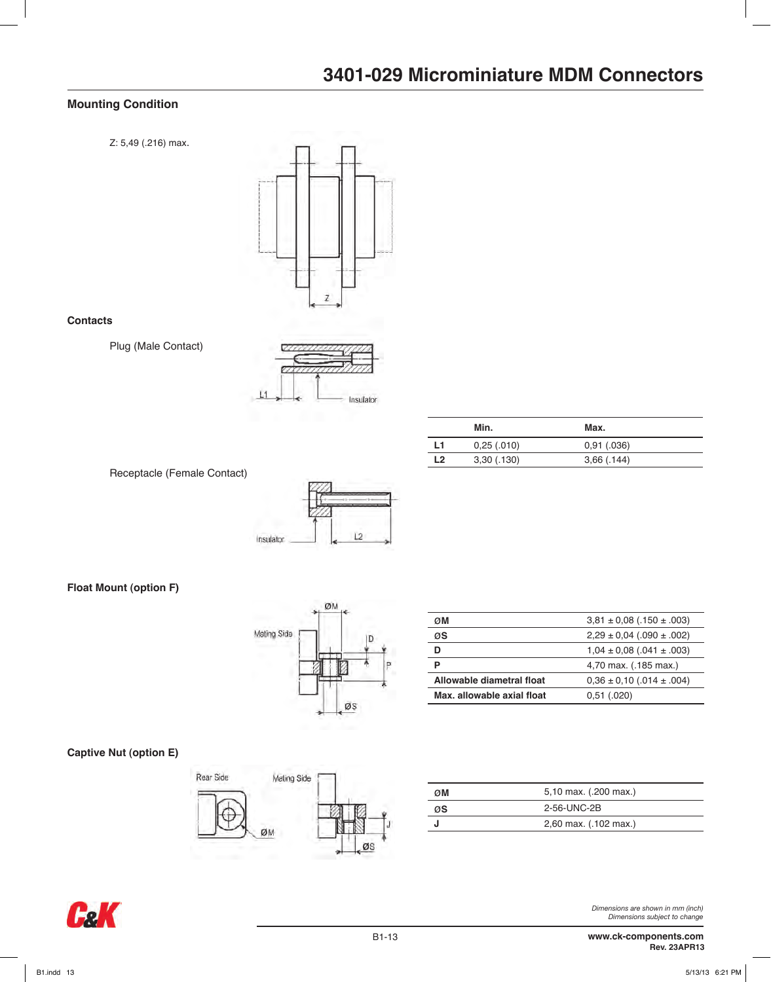## **Mounting Condition**

Z: 5,49 (.216) max.

Z

### **Contacts**

Plug (Male Contact)



|    | Min.       | Max.       |  |
|----|------------|------------|--|
| L1 | 0,25(.010) | 0,91(.036) |  |
| L2 | 3,30(.130) | 3,66(.144) |  |

Receptacle (Female Contact)



## **Float Mount (option F)**



| ØΜ                         | $3.81 \pm 0.08$ (.150 $\pm$ 003)  |
|----------------------------|-----------------------------------|
| øs                         | $2,29 \pm 0.04$ (.090 $\pm$ .002) |
| D                          | $1,04 \pm 0.08$ (.041 $\pm$ .003) |
| P                          | 4,70 max. (.185 max.)             |
| Allowable diametral float  | $0.36 \pm 0.10$ (.014 $\pm$ .004) |
| Max. allowable axial float | 0,51(.020)                        |

### **Captive Nut (option E)**



| ØM | 5,10 max. (.200 max.) |
|----|-----------------------|
| ØS | 2-56-UNC-2B           |
|    | 2,60 max. (.102 max.) |

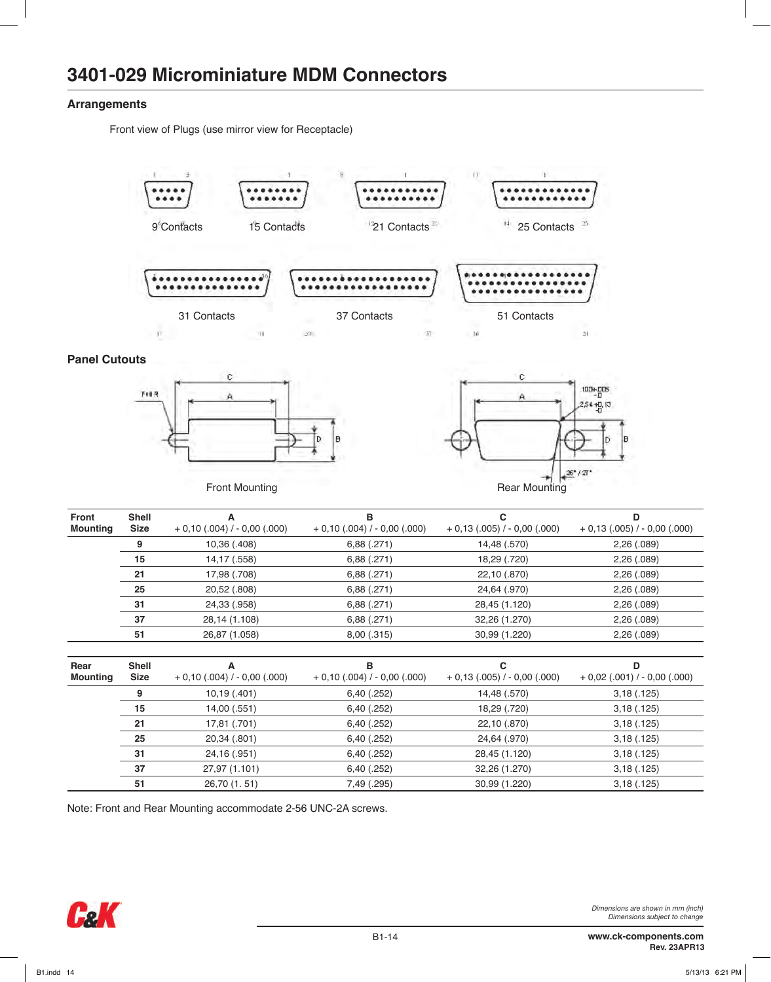## **Arrangements**

Front view of Plugs (use mirror view for Receptacle)



**Panel Cutouts**





| Front                   | Shell                | A                              | в                              | C                                             | D                              |  |
|-------------------------|----------------------|--------------------------------|--------------------------------|-----------------------------------------------|--------------------------------|--|
| <b>Mounting</b>         | <b>Size</b>          | $+0,10(.004)$ / - 0,00 (.000)  | $+0,10(.004)/-0,00(.000)$      | $+0.13(.005) / -0.00(.000)$                   | $+0,13(.005)$ / - 0,00 (.000)  |  |
|                         | 9                    | 10,36 (.408)                   | 6,88 (.271)                    | 14,48 (.570)                                  | 2,26(.089)                     |  |
|                         | 15                   | 14,17 (.558)                   | 6,88 (.271)                    | 18,29 (.720)                                  | 2,26 (.089)                    |  |
|                         | 21                   | 17,98 (.708)                   | 6,88 (.271)                    | 22,10 (.870)                                  | 2,26(.089)                     |  |
|                         | 25                   | 20,52 (.808)                   | 6,88 (.271)                    | 24,64 (.970)                                  | 2,26(.089)                     |  |
|                         | 31                   | 24,33 (.958)                   | 6,88 (.271)                    | 28,45 (1.120)                                 | 2,26 (.089)                    |  |
|                         | 37                   | 28, 14 (1.108)                 | 6,88 (.271)                    | 32,26 (1.270)                                 | 2,26 (.089)                    |  |
|                         | 51                   | 26,87 (1.058)                  | 8,00 (.315)                    | 30,99 (1.220)                                 | 2,26(.089)                     |  |
|                         |                      |                                |                                |                                               |                                |  |
| Rear<br><b>Mounting</b> | Shell<br><b>Size</b> | A<br>$+0,10(.004)/-0,00(.000)$ | в<br>$+0,10(.004)/-0,00(.000)$ | $\mathbf{C}$<br>$+0,13(.005)$ / - 0,00 (.000) | D<br>$+0,02(.001)/-0,00(.000)$ |  |
|                         | 9                    | 10,19(.401)                    | 6,40 (.252)                    | 14,48 (.570)                                  | 3,18(.125)                     |  |
|                         | 15                   | 14,00 (.551)                   | 6,40 (.252)                    | 18,29 (.720)                                  | 3,18(.125)                     |  |
|                         | 21                   | 17,81 (.701)                   | 6,40 (.252)                    | 22,10 (.870)                                  | 3,18(.125)                     |  |
|                         | 25                   | 20,34 (.801)                   | 6,40 (.252)                    | 24,64 (.970)                                  | 3,18(.125)                     |  |
|                         | 31                   | 24, 16 (.951)                  | 6,40 (.252)                    | 28,45 (1.120)                                 | 3,18(.125)                     |  |
|                         |                      |                                |                                |                                               |                                |  |
|                         | 37                   | 27,97 (1.101)                  | 6,40 (.252)                    | 32,26 (1.270)                                 | 3,18(.125)                     |  |

Note: Front and Rear Mounting accommodate 2-56 UNC-2A screws.

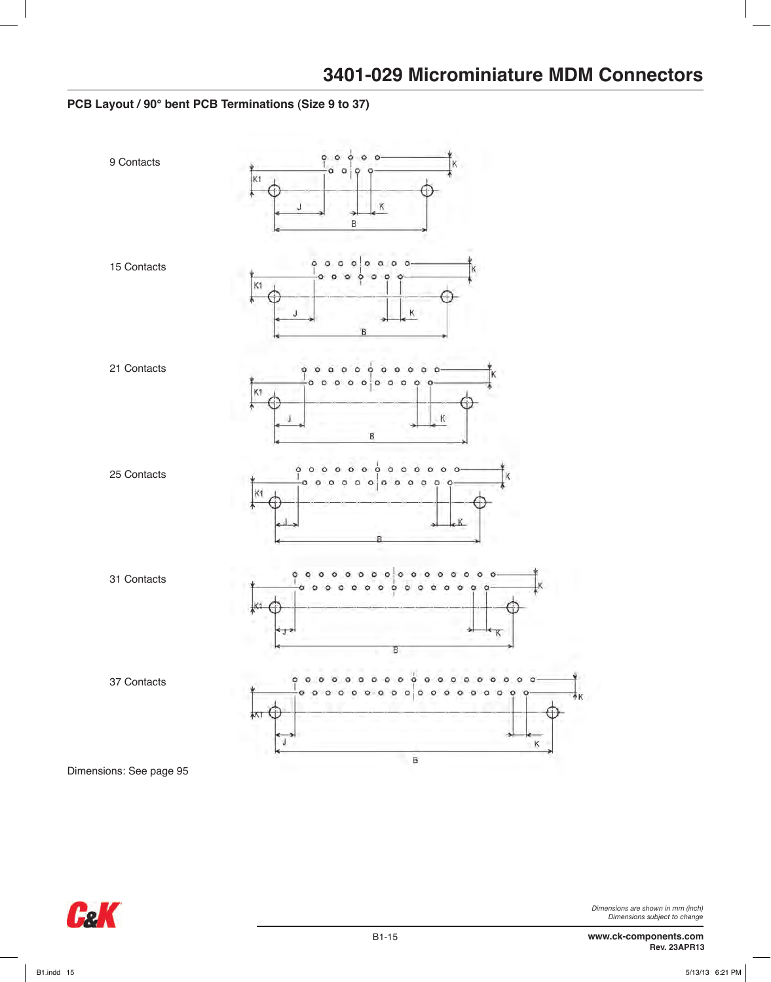## **PCB Layout / 90° bent PCB Terminations (Size 9 to 37)**

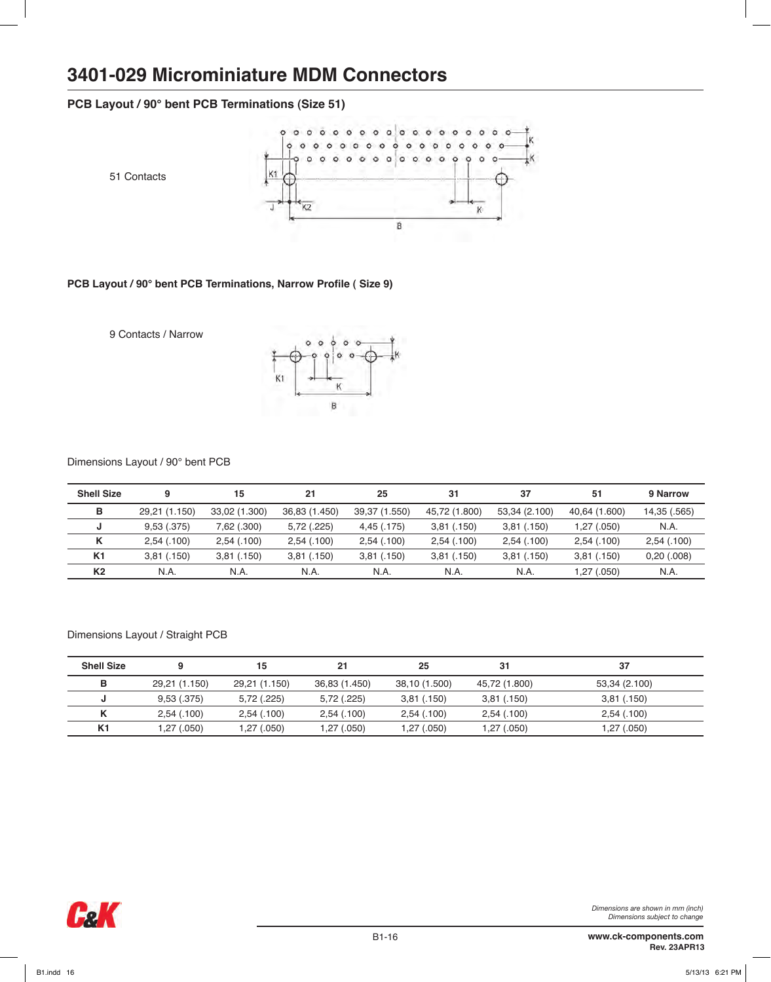## **PCB Layout / 90° bent PCB Terminations (Size 51)**



### **PCB Layout / 90° bent PCB Terminations, Narrow Profile ( Size 9)**

9 Contacts / Narrow

51 Contacts



#### Dimensions Layout / 90° bent PCB

| <b>Shell Size</b> | 9             | 15            | 21            | 25            | 31            | 37            | 51            | 9 Narrow     |
|-------------------|---------------|---------------|---------------|---------------|---------------|---------------|---------------|--------------|
| в                 | 29,21 (1.150) | 33,02 (1.300) | 36,83 (1.450) | 39,37 (1.550) | 45,72 (1.800) | 53,34 (2.100) | 40.64 (1.600) | 14,35 (.565) |
| J                 | 9,53(.375)    | 7,62 (.300)   | 5,72(.225)    | 4.45(.175)    | 3.81(.150)    | 3,81(.150)    | 1,27 (.050)   | N.A.         |
| κ                 | 2,54(00)      | 2,54(0.100)   | 2.54(0.100)   | 2.54(0.100)   | 2,54(00)      | 2,54(00)      | 2,54(0.100)   | 2,54(00)     |
| K <sub>1</sub>    | 3.81(.150)    | 3,81(.150)    | 3.81(.150)    | 3,81(.150)    | 3,81(.150)    | 3,81(.150)    | 3,81(.150)    | 0,20(.008)   |
| K <sub>2</sub>    | N.A.          | N.A.          | N.A.          | N.A.          | N.A.          | N.A.          | 1,27 (.050)   | N.A.         |

### Dimensions Layout / Straight PCB

| <b>Shell Size</b> |               | 15            | 21                | 25            | 31            | 37            |
|-------------------|---------------|---------------|-------------------|---------------|---------------|---------------|
| в                 | 29.21 (1.150) | 29.21 (1.150) | 36,83 (1.450)     | 38,10 (1.500) | 45,72 (1.800) | 53,34 (2.100) |
|                   | 9,53(.375)    | 5,72(.225)    | 5,72(.225)        | 3,81(.150)    | 3,81(.150)    | 3,81(.150)    |
| κ                 | 2.54(0.100)   | 2,54(00)      | 2.54(0.100)       | 2,54(00)      | 2,54(00)      | 2,54(0.100)   |
| K <sub>1</sub>    | (050.) 27.1   | (050.) 27. ا  | (.050)<br>ا 27. ا | (050.) 27. ا  | 1,27 (.050)   | 1,27 (.050)   |

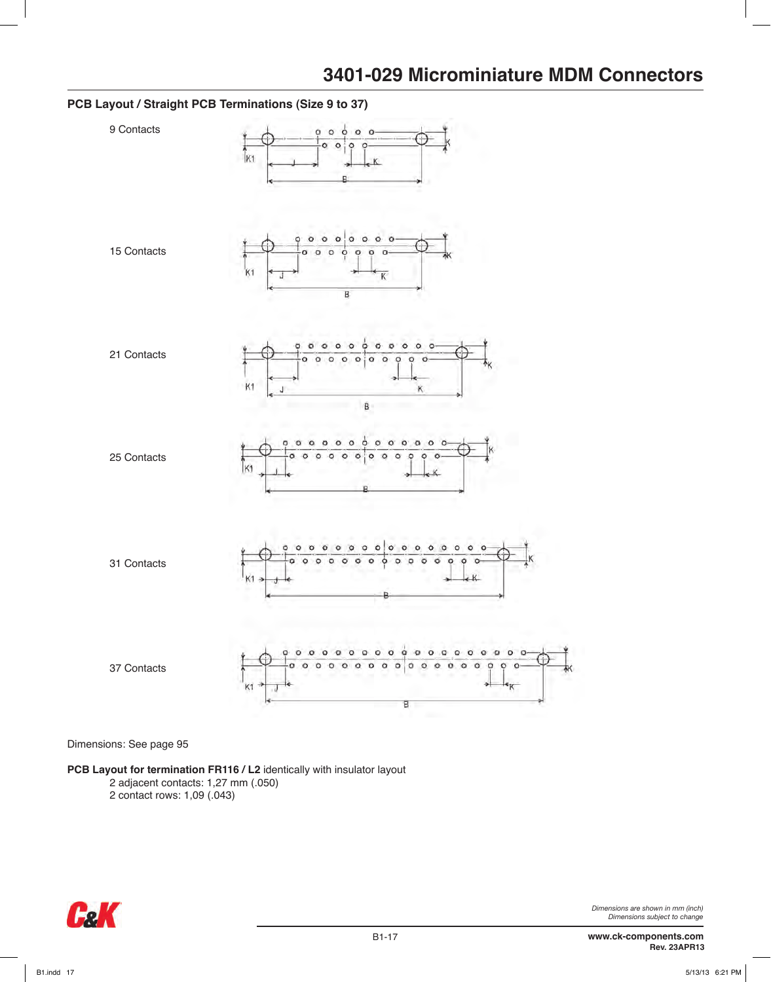

## **PCB Layout / Straight PCB Terminations (Size 9 to 37)**

Dimensions: See page 95

**PCB Layout for termination FR116 / L2** identically with insulator layout

2 adjacent contacts: 1,27 mm (.050)

2 contact rows: 1,09 (.043)

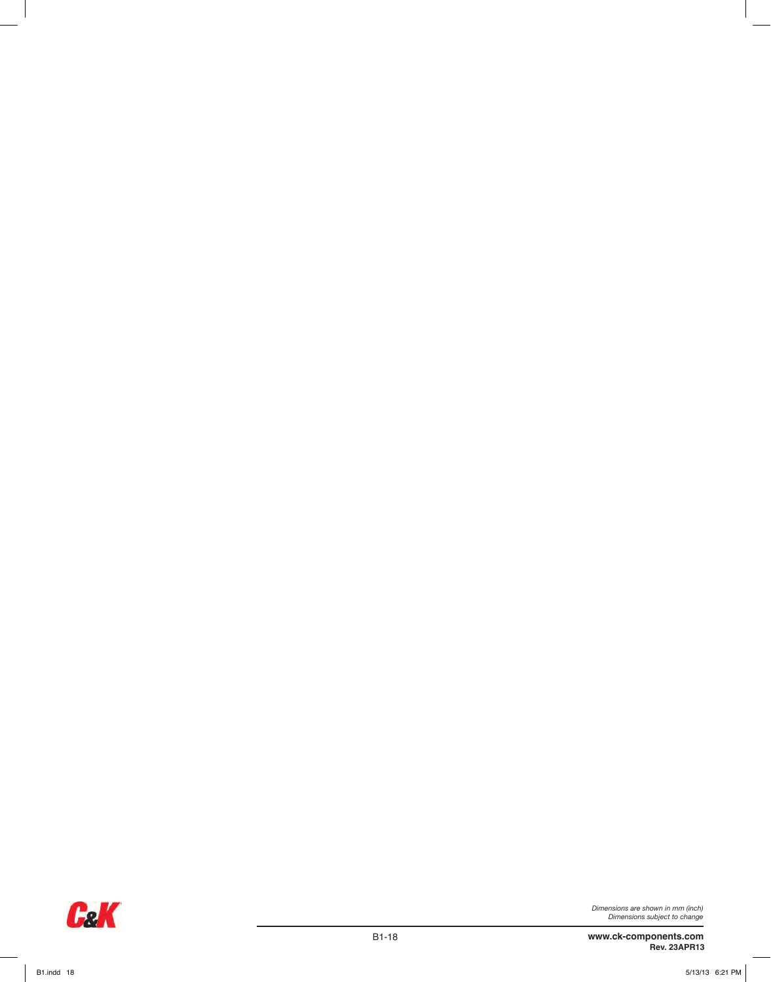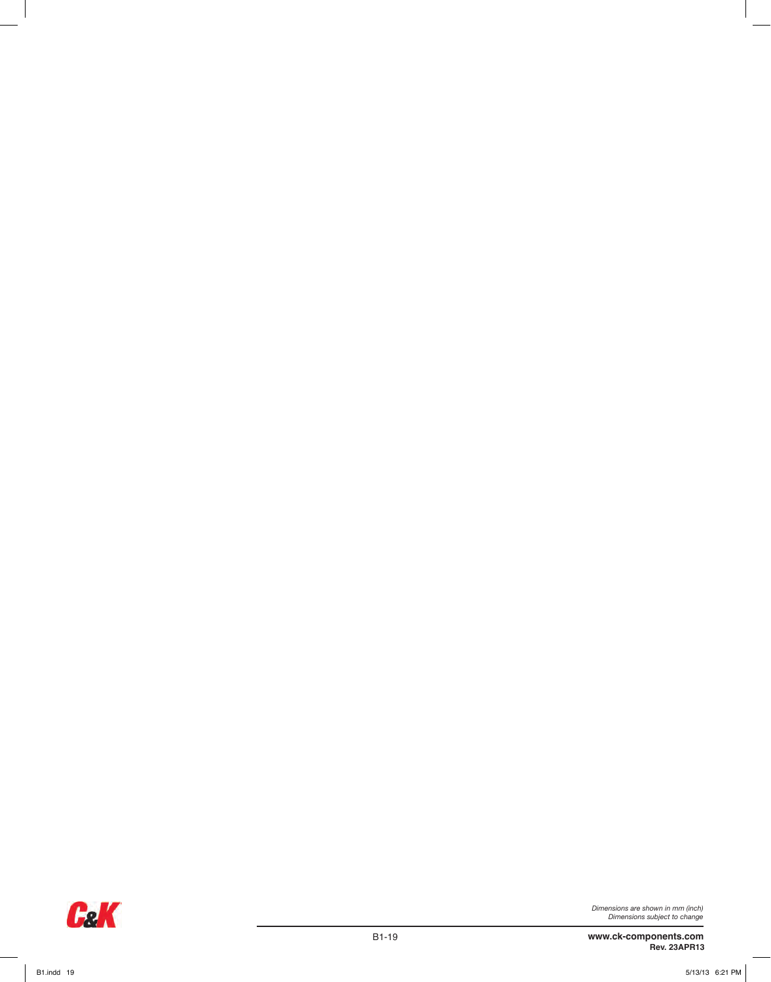